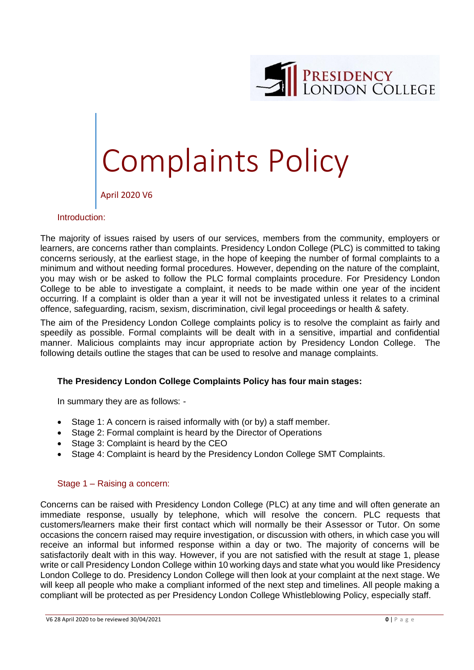

# Complaints Policy

April 2020 V6

#### Introduction:

The majority of issues raised by users of our services, members from the community, employers or learners, are concerns rather than complaints. Presidency London College (PLC) is committed to taking concerns seriously, at the earliest stage, in the hope of keeping the number of formal complaints to a minimum and without needing formal procedures. However, depending on the nature of the complaint, you may wish or be asked to follow the PLC formal complaints procedure. For Presidency London College to be able to investigate a complaint, it needs to be made within one year of the incident occurring. If a complaint is older than a year it will not be investigated unless it relates to a criminal offence, safeguarding, racism, sexism, discrimination, civil legal proceedings or health & safety.

The aim of the Presidency London College complaints policy is to resolve the complaint as fairly and speedily as possible. Formal complaints will be dealt with in a sensitive, impartial and confidential manner. Malicious complaints may incur appropriate action by Presidency London College. The following details outline the stages that can be used to resolve and manage complaints.

## **The Presidency London College Complaints Policy has four main stages:**

In summary they are as follows: -

- Stage 1: A concern is raised informally with (or by) a staff member.
- Stage 2: Formal complaint is heard by the Director of Operations
- Stage 3: Complaint is heard by the CEO
- Stage 4: Complaint is heard by the Presidency London College SMT Complaints.

#### Stage 1 – Raising a concern:

Concerns can be raised with Presidency London College (PLC) at any time and will often generate an immediate response, usually by telephone, which will resolve the concern. PLC requests that customers/learners make their first contact which will normally be their Assessor or Tutor. On some occasions the concern raised may require investigation, or discussion with others, in which case you will receive an informal but informed response within a day or two. The majority of concerns will be satisfactorily dealt with in this way. However, if you are not satisfied with the result at stage 1, please write or call Presidency London College within 10 working days and state what you would like Presidency London College to do. Presidency London College will then look at your complaint at the next stage. We will keep all people who make a compliant informed of the next step and timelines. All people making a compliant will be protected as per Presidency London College Whistleblowing Policy, especially staff.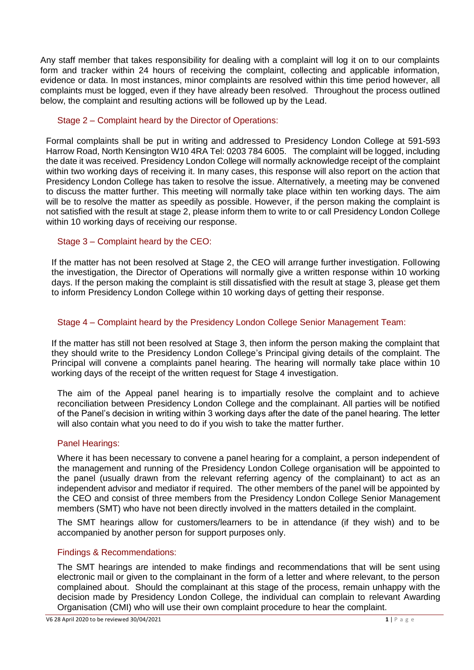Any staff member that takes responsibility for dealing with a complaint will log it on to our complaints form and tracker within 24 hours of receiving the complaint, collecting and applicable information, evidence or data. In most instances, minor complaints are resolved within this time period however, all complaints must be logged, even if they have already been resolved. Throughout the process outlined below, the complaint and resulting actions will be followed up by the Lead.

# Stage 2 – Complaint heard by the Director of Operations:

Formal complaints shall be put in writing and addressed to Presidency London College at 591-593 Harrow Road, North Kensington W10 4RA Tel: 0203 784 6005. The complaint will be logged, including the date it was received. Presidency London College will normally acknowledge receipt of the complaint within two working days of receiving it. In many cases, this response will also report on the action that Presidency London College has taken to resolve the issue. Alternatively, a meeting may be convened to discuss the matter further. This meeting will normally take place within ten working days. The aim will be to resolve the matter as speedily as possible. However, if the person making the complaint is not satisfied with the result at stage 2, please inform them to write to or call Presidency London College within 10 working days of receiving our response.

## Stage 3 – Complaint heard by the CEO:

If the matter has not been resolved at Stage 2, the CEO will arrange further investigation. Following the investigation, the Director of Operations will normally give a written response within 10 working days. If the person making the complaint is still dissatisfied with the result at stage 3, please get them to inform Presidency London College within 10 working days of getting their response.

## Stage 4 – Complaint heard by the Presidency London College Senior Management Team:

If the matter has still not been resolved at Stage 3, then inform the person making the complaint that they should write to the Presidency London College's Principal giving details of the complaint. The Principal will convene a complaints panel hearing. The hearing will normally take place within 10 working days of the receipt of the written request for Stage 4 investigation.

The aim of the Appeal panel hearing is to impartially resolve the complaint and to achieve reconciliation between Presidency London College and the complainant. All parties will be notified of the Panel's decision in writing within 3 working days after the date of the panel hearing. The letter will also contain what you need to do if you wish to take the matter further.

## Panel Hearings:

Where it has been necessary to convene a panel hearing for a complaint, a person independent of the management and running of the Presidency London College organisation will be appointed to the panel (usually drawn from the relevant referring agency of the complainant) to act as an independent advisor and mediator if required. The other members of the panel will be appointed by the CEO and consist of three members from the Presidency London College Senior Management members (SMT) who have not been directly involved in the matters detailed in the complaint.

The SMT hearings allow for customers/learners to be in attendance (if they wish) and to be accompanied by another person for support purposes only.

# Findings & Recommendations:

The SMT hearings are intended to make findings and recommendations that will be sent using electronic mail or given to the complainant in the form of a letter and where relevant, to the person complained about. Should the complainant at this stage of the process, remain unhappy with the decision made by Presidency London College, the individual can complain to relevant Awarding Organisation (CMI) who will use their own complaint procedure to hear the complaint.